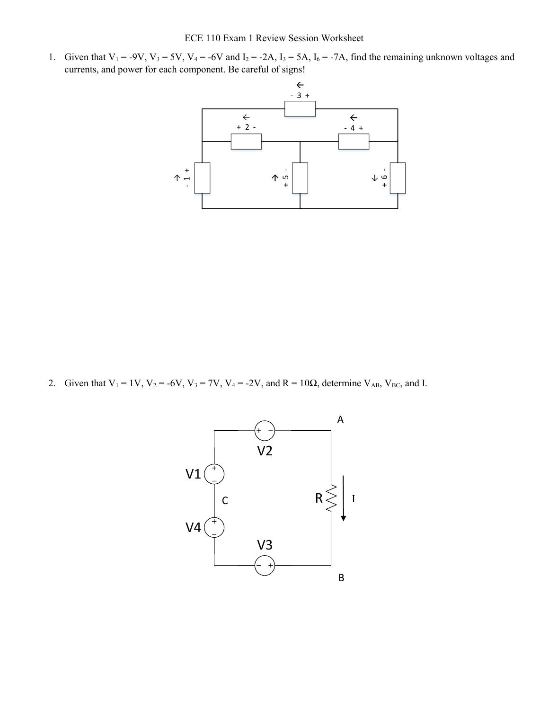1. Given that  $V_1 = -9V$ ,  $V_3 = 5V$ ,  $V_4 = -6V$  and  $I_2 = -2A$ ,  $I_3 = 5A$ ,  $I_6 = -7A$ , find the remaining unknown voltages and currents, and power for each component. Be careful of signs!



2. Given that  $V_1 = 1V$ ,  $V_2 = -6V$ ,  $V_3 = 7V$ ,  $V_4 = -2V$ , and  $R = 10\Omega$ , determine  $V_{AB}$ ,  $V_{BC}$ , and I.